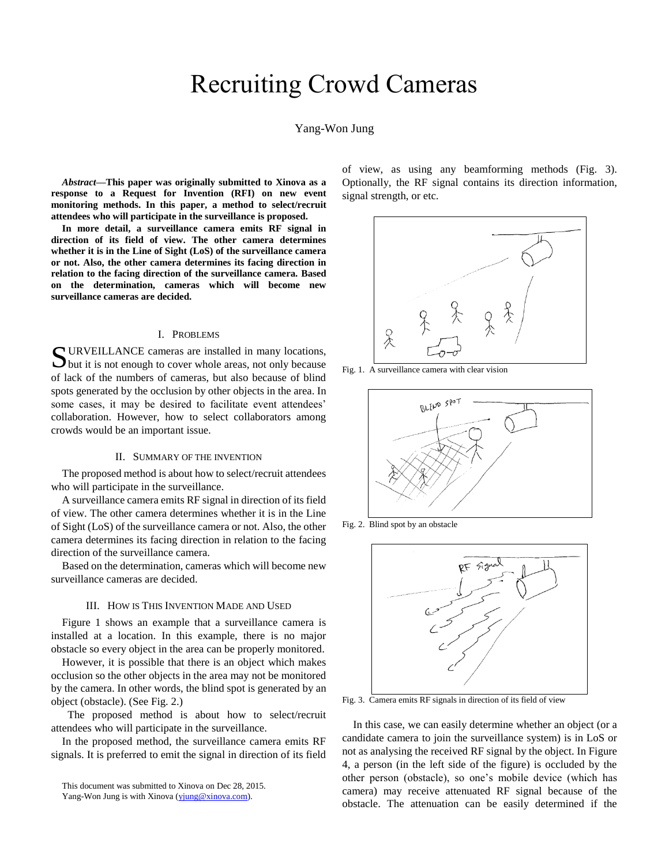# Recruiting Crowd Cameras

# Yang-Won Jung

*Abstract***—This paper was originally submitted to Xinova as a response to a Request for Invention (RFI) on new event monitoring methods. In this paper, a method to select/recruit attendees who will participate in the surveillance is proposed.** 

**In more detail, a surveillance camera emits RF signal in direction of its field of view. The other camera determines whether it is in the Line of Sight (LoS) of the surveillance camera or not. Also, the other camera determines its facing direction in relation to the facing direction of the surveillance camera. Based on the determination, cameras which will become new surveillance cameras are decided.**

## I. PROBLEMS

URVEILLANCE cameras are installed in many locations, SURVEILLANCE cameras are installed in many locations,<br>but it is not enough to cover whole areas, not only because of lack of the numbers of cameras, but also because of blind spots generated by the occlusion by other objects in the area. In some cases, it may be desired to facilitate event attendees' collaboration. However, how to select collaborators among crowds would be an important issue.

## II. SUMMARY OF THE INVENTION

The proposed method is about how to select/recruit attendees who will participate in the surveillance.

A surveillance camera emits RF signal in direction of its field of view. The other camera determines whether it is in the Line of Sight (LoS) of the surveillance camera or not. Also, the other camera determines its facing direction in relation to the facing direction of the surveillance camera.

Based on the determination, cameras which will become new surveillance cameras are decided.

## III. HOW IS THIS INVENTION MADE AND USED

Figure 1 shows an example that a surveillance camera is installed at a location. In this example, there is no major obstacle so every object in the area can be properly monitored.

However, it is possible that there is an object which makes occlusion so the other objects in the area may not be monitored by the camera. In other words, the blind spot is generated by an object (obstacle). (See Fig. 2.)

 The proposed method is about how to select/recruit attendees who will participate in the surveillance.

In the proposed method, the surveillance camera emits RF signals. It is preferred to emit the signal in direction of its field

This document was submitted to Xinova on Dec 28, 2015.

of view, as using any beamforming methods (Fig. 3). Optionally, the RF signal contains its direction information, signal strength, or etc.



Fig. 1. A surveillance camera with clear vision



Fig. 2. Blind spot by an obstacle



Fig. 3. Camera emits RF signals in direction of its field of view

In this case, we can easily determine whether an object (or a candidate camera to join the surveillance system) is in LoS or not as analysing the received RF signal by the object. In Figure 4, a person (in the left side of the figure) is occluded by the other person (obstacle), so one's mobile device (which has camera) may receive attenuated RF signal because of the obstacle. The attenuation can be easily determined if the

Yang-Won Jung is with Xinova [\(yjung@xinova.com\)](mailto:yjung@xinova.com).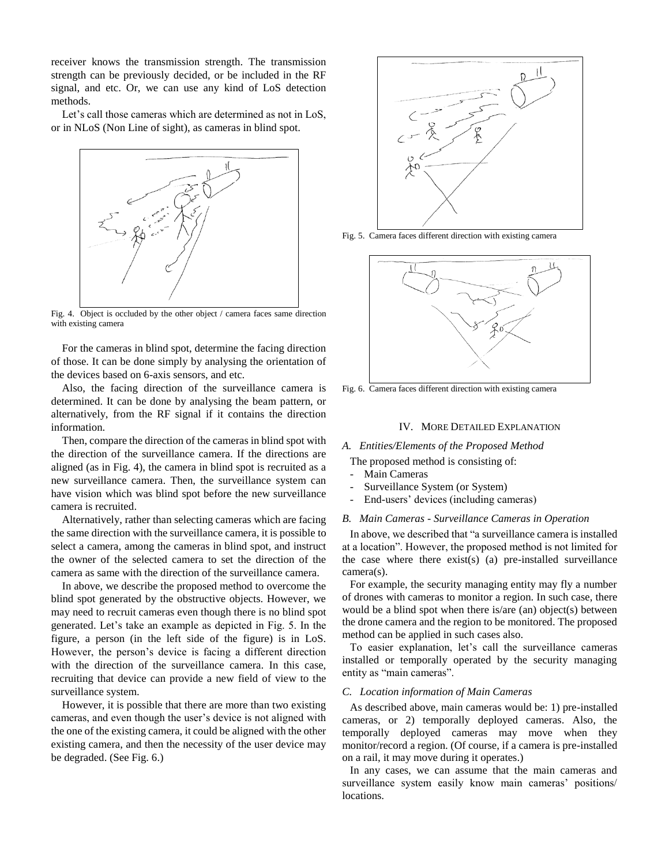receiver knows the transmission strength. The transmission strength can be previously decided, or be included in the RF signal, and etc. Or, we can use any kind of LoS detection methods.

Let's call those cameras which are determined as not in LoS, or in NLoS (Non Line of sight), as cameras in blind spot.



Fig. 4. Object is occluded by the other object / camera faces same direction with existing camera

For the cameras in blind spot, determine the facing direction of those. It can be done simply by analysing the orientation of the devices based on 6-axis sensors, and etc.

Also, the facing direction of the surveillance camera is determined. It can be done by analysing the beam pattern, or alternatively, from the RF signal if it contains the direction information.

Then, compare the direction of the cameras in blind spot with the direction of the surveillance camera. If the directions are aligned (as in Fig. 4), the camera in blind spot is recruited as a new surveillance camera. Then, the surveillance system can have vision which was blind spot before the new surveillance camera is recruited.

Alternatively, rather than selecting cameras which are facing the same direction with the surveillance camera, it is possible to select a camera, among the cameras in blind spot, and instruct the owner of the selected camera to set the direction of the camera as same with the direction of the surveillance camera.

In above, we describe the proposed method to overcome the blind spot generated by the obstructive objects. However, we may need to recruit cameras even though there is no blind spot generated. Let's take an example as depicted in Fig. 5. In the figure, a person (in the left side of the figure) is in LoS. However, the person's device is facing a different direction with the direction of the surveillance camera. In this case, recruiting that device can provide a new field of view to the surveillance system.

However, it is possible that there are more than two existing cameras, and even though the user's device is not aligned with the one of the existing camera, it could be aligned with the other existing camera, and then the necessity of the user device may be degraded. (See Fig. 6.)



Fig. 5. Camera faces different direction with existing camera



Fig. 6. Camera faces different direction with existing camera

## IV. MORE DETAILED EXPLANATION

# *A. Entities/Elements of the Proposed Method*

The proposed method is consisting of:

- Main Cameras
- Surveillance System (or System)
- End-users' devices (including cameras)

#### *B. Main Cameras - Surveillance Cameras in Operation*

In above, we described that "a surveillance camera is installed at a location". However, the proposed method is not limited for the case where there exist(s) (a) pre-installed surveillance camera(s).

For example, the security managing entity may fly a number of drones with cameras to monitor a region. In such case, there would be a blind spot when there is/are (an) object(s) between the drone camera and the region to be monitored. The proposed method can be applied in such cases also.

To easier explanation, let's call the surveillance cameras installed or temporally operated by the security managing entity as "main cameras".

### *C. Location information of Main Cameras*

As described above, main cameras would be: 1) pre-installed cameras, or 2) temporally deployed cameras. Also, the temporally deployed cameras may move when they monitor/record a region. (Of course, if a camera is pre-installed on a rail, it may move during it operates.)

In any cases, we can assume that the main cameras and surveillance system easily know main cameras' positions/ locations.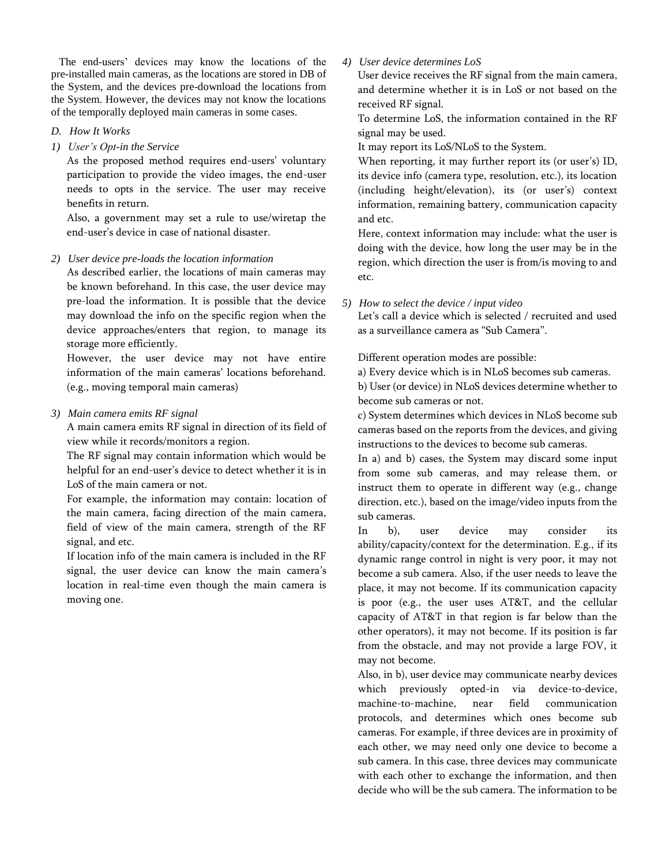The end-users' devices may know the locations of the pre-installed main cameras, as the locations are stored in DB of the System, and the devices pre-download the locations from the System. However, the devices may not know the locations of the temporally deployed main cameras in some cases.

# *D. How It Works*

*1) User's Opt-in the Service*

As the proposed method requires end-users' voluntary participation to provide the video images, the end-user needs to opts in the service. The user may receive benefits in return.

Also, a government may set a rule to use/wiretap the end-user's device in case of national disaster.

*2) User device pre-loads the location information*

As described earlier, the locations of main cameras may be known beforehand. In this case, the user device may pre-load the information. It is possible that the device may download the info on the specific region when the device approaches/enters that region, to manage its storage more efficiently.

However, the user device may not have entire information of the main cameras' locations beforehand. (e.g., moving temporal main cameras)

*3) Main camera emits RF signal*

A main camera emits RF signal in direction of its field of view while it records/monitors a region.

The RF signal may contain information which would be helpful for an end-user's device to detect whether it is in LoS of the main camera or not.

For example, the information may contain: location of the main camera, facing direction of the main camera, field of view of the main camera, strength of the RF signal, and etc.

If location info of the main camera is included in the RF signal, the user device can know the main camera's location in real-time even though the main camera is moving one.

# *4) User device determines LoS*

User device receives the RF signal from the main camera, and determine whether it is in LoS or not based on the received RF signal.

To determine LoS, the information contained in the RF signal may be used.

It may report its LoS/NLoS to the System.

When reporting, it may further report its (or user's) ID, its device info (camera type, resolution, etc.), its location (including height/elevation), its (or user's) context information, remaining battery, communication capacity and etc.

Here, context information may include: what the user is doing with the device, how long the user may be in the region, which direction the user is from/is moving to and etc.

*5) How to select the device / input video*

Let's call a device which is selected / recruited and used as a surveillance camera as "Sub Camera".

Different operation modes are possible:

a) Every device which is in NLoS becomes sub cameras.

b) User (or device) in NLoS devices determine whether to become sub cameras or not.

c) System determines which devices in NLoS become sub cameras based on the reports from the devices, and giving instructions to the devices to become sub cameras.

In a) and b) cases, the System may discard some input from some sub cameras, and may release them, or instruct them to operate in different way (e.g., change direction, etc.), based on the image/video inputs from the sub cameras.

In b), user device may consider its ability/capacity/context for the determination. E.g., if its dynamic range control in night is very poor, it may not become a sub camera. Also, if the user needs to leave the place, it may not become. If its communication capacity is poor (e.g., the user uses AT&T, and the cellular capacity of AT&T in that region is far below than the other operators), it may not become. If its position is far from the obstacle, and may not provide a large FOV, it may not become.

Also, in b), user device may communicate nearby devices which previously opted-in via device-to-device, machine-to-machine, near field communication protocols, and determines which ones become sub cameras. For example, if three devices are in proximity of each other, we may need only one device to become a sub camera. In this case, three devices may communicate with each other to exchange the information, and then decide who will be the sub camera. The information to be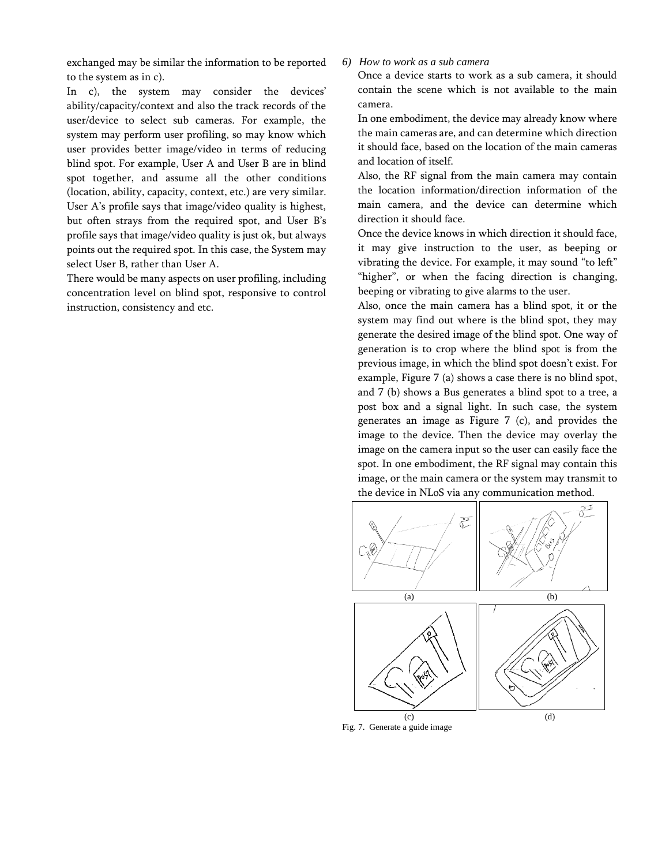exchanged may be similar the information to be reported to the system as in c).

In c), the system may consider the devices' ability/capacity/context and also the track records of the user/device to select sub cameras. For example, the system may perform user profiling, so may know which user provides better image/video in terms of reducing blind spot. For example, User A and User B are in blind spot together, and assume all the other conditions (location, ability, capacity, context, etc.) are very similar. User A's profile says that image/video quality is highest, but often strays from the required spot, and User B's profile says that image/video quality is just ok, but always points out the required spot. In this case, the System may select User B, rather than User A.

There would be many aspects on user profiling, including concentration level on blind spot, responsive to control instruction, consistency and etc.

# *6) How to work as a sub camera*

Once a device starts to work as a sub camera, it should contain the scene which is not available to the main camera.

In one embodiment, the device may already know where the main cameras are, and can determine which direction it should face, based on the location of the main cameras and location of itself.

Also, the RF signal from the main camera may contain the location information/direction information of the main camera, and the device can determine which direction it should face.

Once the device knows in which direction it should face, it may give instruction to the user, as beeping or vibrating the device. For example, it may sound "to left" "higher", or when the facing direction is changing, beeping or vibrating to give alarms to the user.

Also, once the main camera has a blind spot, it or the system may find out where is the blind spot, they may generate the desired image of the blind spot. One way of generation is to crop where the blind spot is from the previous image, in which the blind spot doesn't exist. For example, Figure 7 (a) shows a case there is no blind spot, and 7 (b) shows a Bus generates a blind spot to a tree, a post box and a signal light. In such case, the system generates an image as Figure 7 (c), and provides the image to the device. Then the device may overlay the image on the camera input so the user can easily face the spot. In one embodiment, the RF signal may contain this image, or the main camera or the system may transmit to the device in NLoS via any communication method.



Fig. 7. Generate a guide image